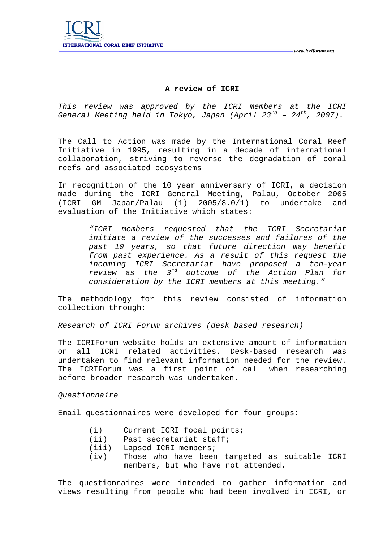# **A review of ICRI**

*This review was approved by the ICRI members at the ICRI General Meeting held in Tokyo, Japan (April 23rd – 24th, 2007).* 

The Call to Action was made by the International Coral Reef Initiative in 1995, resulting in a decade of international collaboration, striving to reverse the degradation of coral reefs and associated ecosystems

In recognition of the 10 year anniversary of ICRI, a decision made during the ICRI General Meeting, Palau, October 2005 (ICRI GM Japan/Palau (1) 2005/8.0/1) to undertake and evaluation of the Initiative which states:

> *"ICRI members requested that the ICRI Secretariat initiate a review of the successes and failures of the past 10 years, so that future direction may benefit from past experience. As a result of this request the incoming ICRI Secretariat have proposed a ten-year review as the 3rd outcome of the Action Plan for consideration by the ICRI members at this meeting."*

The methodology for this review consisted of information collection through:

*Research of ICRI Forum archives (desk based research)* 

The ICRIForum website holds an extensive amount of information on all ICRI related activities. Desk-based research was undertaken to find relevant information needed for the review. The ICRIForum was a first point of call when researching before broader research was undertaken.

*Questionnaire* 

Email questionnaires were developed for four groups:

- (i) Current ICRI focal points;
- (ii) Past secretariat staff;
- (iii) Lapsed ICRI members;
- (iv) Those who have been targeted as suitable ICRI members, but who have not attended.

The questionnaires were intended to gather information and views resulting from people who had been involved in ICRI, or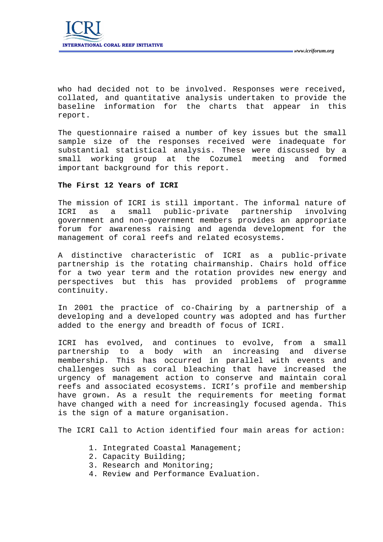who had decided not to be involved. Responses were received, collated, and quantitative analysis undertaken to provide the baseline information for the charts that appear in this report.

The questionnaire raised a number of key issues but the small sample size of the responses received were inadequate for substantial statistical analysis. These were discussed by a small working group at the Cozumel meeting and formed important background for this report.

#### **The First 12 Years of ICRI**

The mission of ICRI is still important. The informal nature of ICRI as a small public-private partnership involving government and non-government members provides an appropriate forum for awareness raising and agenda development for the management of coral reefs and related ecosystems.

A distinctive characteristic of ICRI as a public-private partnership is the rotating chairmanship. Chairs hold office for a two year term and the rotation provides new energy and perspectives but this has provided problems of programme continuity.

In 2001 the practice of co-Chairing by a partnership of a developing and a developed country was adopted and has further added to the energy and breadth of focus of ICRI.

ICRI has evolved, and continues to evolve, from a small partnership to a body with an increasing and diverse membership. This has occurred in parallel with events and challenges such as coral bleaching that have increased the urgency of management action to conserve and maintain coral reefs and associated ecosystems. ICRI's profile and membership have grown. As a result the requirements for meeting format have changed with a need for increasingly focused agenda. This is the sign of a mature organisation.

The ICRI Call to Action identified four main areas for action:

- 1. Integrated Coastal Management;
- 2. Capacity Building;
- 3. Research and Monitoring;
- 4. Review and Performance Evaluation.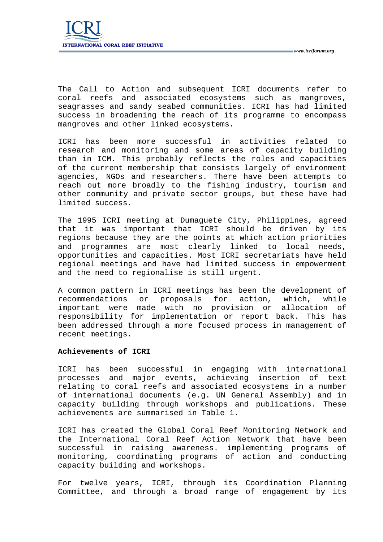The Call to Action and subsequent ICRI documents refer to coral reefs and associated ecosystems such as mangroves, seagrasses and sandy seabed communities. ICRI has had limited success in broadening the reach of its programme to encompass mangroves and other linked ecosystems.

ICRI has been more successful in activities related to research and monitoring and some areas of capacity building than in ICM. This probably reflects the roles and capacities of the current membership that consists largely of environment agencies, NGOs and researchers. There have been attempts to reach out more broadly to the fishing industry, tourism and other community and private sector groups, but these have had limited success.

The 1995 ICRI meeting at Dumaguete City, Philippines, agreed that it was important that ICRI should be driven by its regions because they are the points at which action priorities and programmes are most clearly linked to local needs, opportunities and capacities. Most ICRI secretariats have held regional meetings and have had limited success in empowerment and the need to regionalise is still urgent.

A common pattern in ICRI meetings has been the development of recommendations or proposals for action, which, while important were made with no provision or allocation of responsibility for implementation or report back. This has been addressed through a more focused process in management of recent meetings.

### **Achievements of ICRI**

ICRI has been successful in engaging with international processes and major events, achieving insertion of text relating to coral reefs and associated ecosystems in a number of international documents (e.g. UN General Assembly) and in capacity building through workshops and publications. These achievements are summarised in Table 1.

ICRI has created the Global Coral Reef Monitoring Network and the International Coral Reef Action Network that have been successful in raising awareness. implementing programs of monitoring, coordinating programs of action and conducting capacity building and workshops.

For twelve years, ICRI, through its Coordination Planning Committee, and through a broad range of engagement by its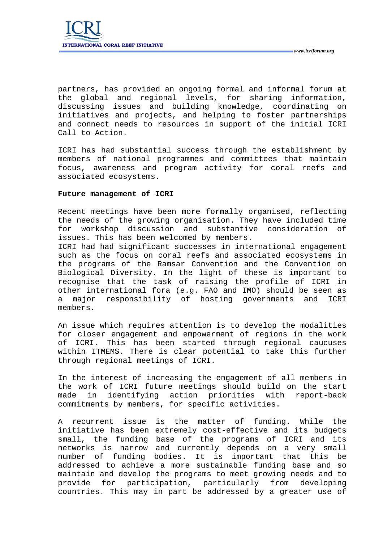partners, has provided an ongoing formal and informal forum at the global and regional levels, for sharing information, discussing issues and building knowledge, coordinating on initiatives and projects, and helping to foster partnerships and connect needs to resources in support of the initial ICRI Call to Action.

ICRI has had substantial success through the establishment by members of national programmes and committees that maintain focus, awareness and program activity for coral reefs and associated ecosystems.

## **Future management of ICRI**

Recent meetings have been more formally organised, reflecting the needs of the growing organisation. They have included time for workshop discussion and substantive consideration of issues. This has been welcomed by members.

ICRI had had significant successes in international engagement such as the focus on coral reefs and associated ecosystems in the programs of the Ramsar Convention and the Convention on Biological Diversity. In the light of these is important to recognise that the task of raising the profile of ICRI in other international fora (e.g. FAO and IMO) should be seen as a major responsibility of hosting governments and ICRI members.

An issue which requires attention is to develop the modalities for closer engagement and empowerment of regions in the work of ICRI. This has been started through regional caucuses within ITMEMS. There is clear potential to take this further through regional meetings of ICRI.

In the interest of increasing the engagement of all members in the work of ICRI future meetings should build on the start made in identifying action priorities with report-back commitments by members, for specific activities.

A recurrent issue is the matter of funding. While the initiative has been extremely cost-effective and its budgets small, the funding base of the programs of ICRI and its networks is narrow and currently depends on a very small number of funding bodies. It is important that this be addressed to achieve a more sustainable funding base and so maintain and develop the programs to meet growing needs and to provide for participation, particularly from developing countries. This may in part be addressed by a greater use of